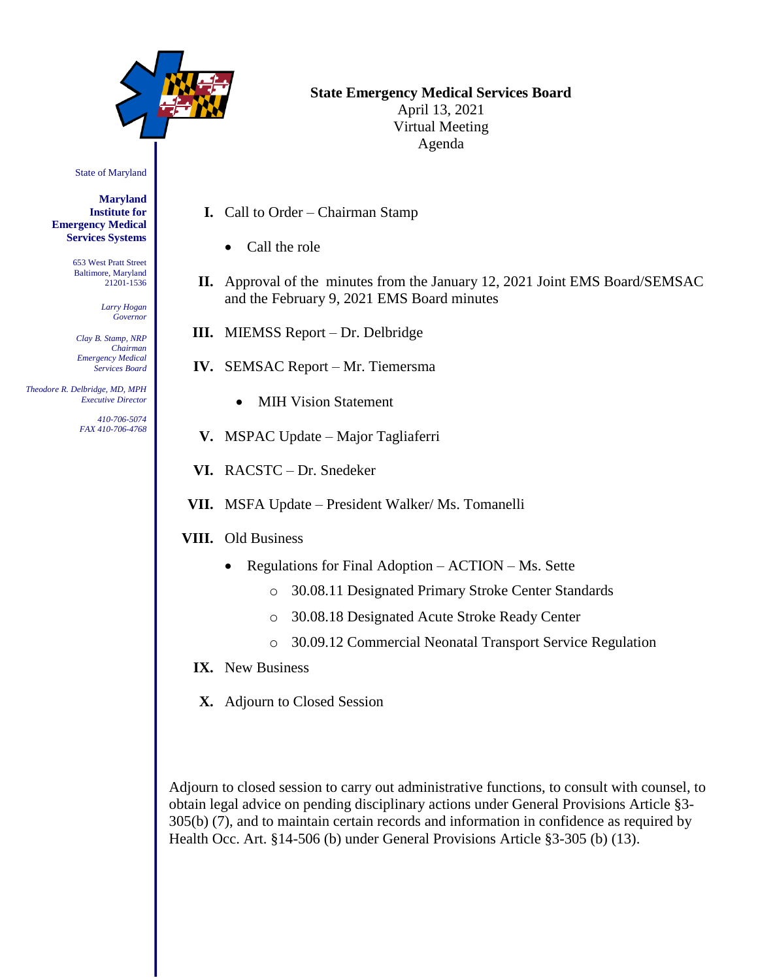

## **State Emergency Medical Services Board**

April 13, 2021 Virtual Meeting Agenda

State of Maryland

**Maryland Institute for Emergency Medical Services Systems**

> 653 West Pratt Street Baltimore, Maryland 21201-1536

> > *Larry Hogan Governor*

*Clay B. Stamp, NRP Chairman Emergency Medical Services Board*

 *Theodore R. Delbridge, MD, MPH Executive Director*

> *410-706-5074 FAX 410-706-4768*

- **I.** Call to Order Chairman Stamp
	- Call the role
- **II.** Approval of the minutes from the January 12, 2021 Joint EMS Board/SEMSAC and the February 9, 2021 EMS Board minutes
- **III.** MIEMSS Report Dr. Delbridge
- **IV.** SEMSAC Report Mr. Tiemersma
	- MIH Vision Statement
- **V.** MSPAC Update Major Tagliaferri
- **VI.** RACSTC Dr. Snedeker
- **VII.** MSFA Update President Walker/ Ms. Tomanelli
- **VIII.** Old Business
	- Regulations for Final Adoption ACTION Ms. Sette
		- o 30.08.11 Designated Primary Stroke Center Standards
		- o 30.08.18 Designated Acute Stroke Ready Center
		- o 30.09.12 Commercial Neonatal Transport Service Regulation
	- **IX.** New Business
	- **X.** Adjourn to Closed Session

Adjourn to closed session to carry out administrative functions, to consult with counsel, to obtain legal advice on pending disciplinary actions under General Provisions Article §3- 305(b) (7), and to maintain certain records and information in confidence as required by Health Occ. Art. §14-506 (b) under General Provisions Article §3-305 (b) (13).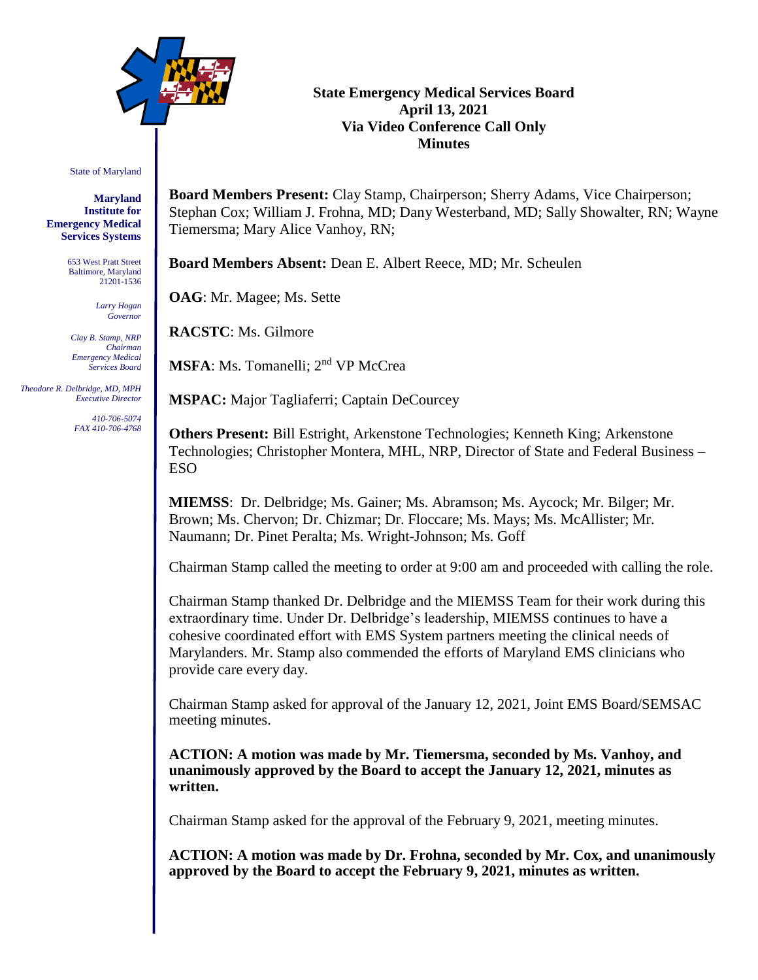

## **State Emergency Medical Services Board April 13, 2021 Via Video Conference Call Only Minutes**

#### State of Maryland

**Maryland Institute for Emergency Medical Services Systems**

> 653 West Pratt Street Baltimore, Maryland 21201-1536

> > *Larry Hogan Governor*

*Clay B. Stamp, NRP Chairman Emergency Medical Services Board*

 *Theodore R. Delbridge, MD, MPH Executive Director*

> *410-706-5074 FAX 410-706-4768*

**Board Members Present:** Clay Stamp, Chairperson; Sherry Adams, Vice Chairperson; Stephan Cox; William J. Frohna, MD; Dany Westerband, MD; Sally Showalter, RN; Wayne Tiemersma; Mary Alice Vanhoy, RN;

**Board Members Absent:** Dean E. Albert Reece, MD; Mr. Scheulen

**OAG**: Mr. Magee; Ms. Sette

**RACSTC**: Ms. Gilmore

**MSFA**: Ms. Tomanelli; 2<sup>nd</sup> VP McCrea

**MSPAC:** Major Tagliaferri; Captain DeCourcey

**Others Present:** Bill Estright, Arkenstone Technologies; Kenneth King; Arkenstone Technologies; Christopher Montera, MHL, NRP, Director of State and Federal Business – ESO

**MIEMSS**: Dr. Delbridge; Ms. Gainer; Ms. Abramson; Ms. Aycock; Mr. Bilger; Mr. Brown; Ms. Chervon; Dr. Chizmar; Dr. Floccare; Ms. Mays; Ms. McAllister; Mr. Naumann; Dr. Pinet Peralta; Ms. Wright-Johnson; Ms. Goff

Chairman Stamp called the meeting to order at 9:00 am and proceeded with calling the role.

Chairman Stamp thanked Dr. Delbridge and the MIEMSS Team for their work during this extraordinary time. Under Dr. Delbridge's leadership, MIEMSS continues to have a cohesive coordinated effort with EMS System partners meeting the clinical needs of Marylanders. Mr. Stamp also commended the efforts of Maryland EMS clinicians who provide care every day.

Chairman Stamp asked for approval of the January 12, 2021, Joint EMS Board/SEMSAC meeting minutes.

**ACTION: A motion was made by Mr. Tiemersma, seconded by Ms. Vanhoy, and unanimously approved by the Board to accept the January 12, 2021, minutes as written.**

Chairman Stamp asked for the approval of the February 9, 2021, meeting minutes.

**ACTION: A motion was made by Dr. Frohna, seconded by Mr. Cox, and unanimously approved by the Board to accept the February 9, 2021, minutes as written.**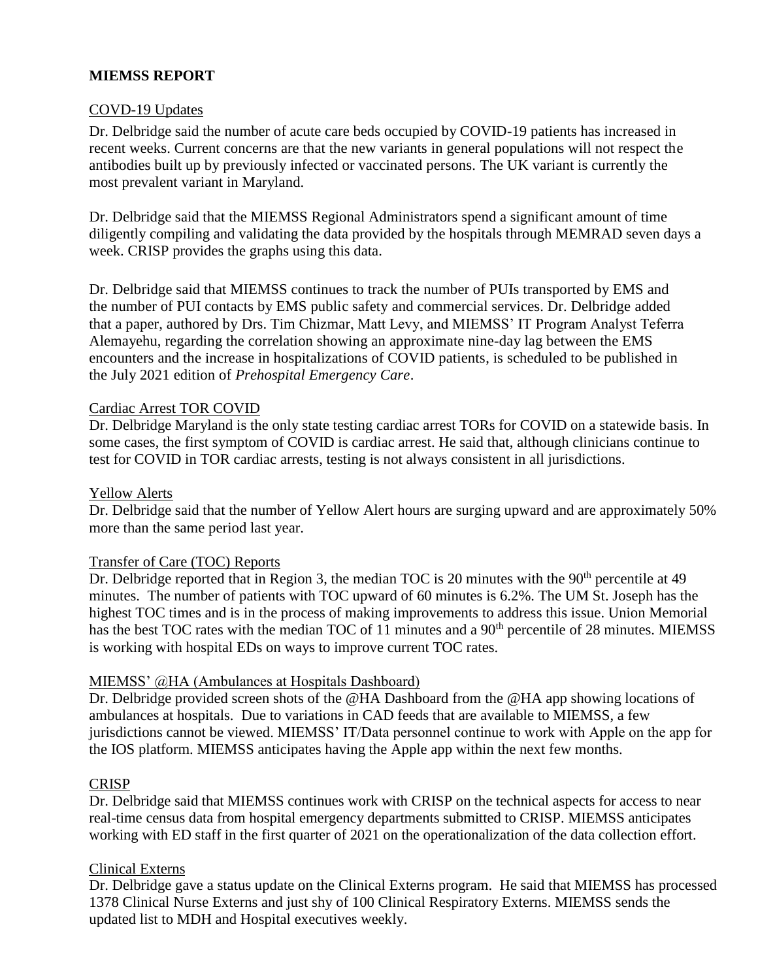# **MIEMSS REPORT**

## COVD-19 Updates

Dr. Delbridge said the number of acute care beds occupied by COVID-19 patients has increased in recent weeks. Current concerns are that the new variants in general populations will not respect the antibodies built up by previously infected or vaccinated persons. The UK variant is currently the most prevalent variant in Maryland.

Dr. Delbridge said that the MIEMSS Regional Administrators spend a significant amount of time diligently compiling and validating the data provided by the hospitals through MEMRAD seven days a week. CRISP provides the graphs using this data.

Dr. Delbridge said that MIEMSS continues to track the number of PUIs transported by EMS and the number of PUI contacts by EMS public safety and commercial services. Dr. Delbridge added that a paper, authored by Drs. Tim Chizmar, Matt Levy, and MIEMSS' IT Program Analyst Teferra Alemayehu, regarding the correlation showing an approximate nine-day lag between the EMS encounters and the increase in hospitalizations of COVID patients, is scheduled to be published in the July 2021 edition of *Prehospital Emergency Care*.

#### Cardiac Arrest TOR COVID

Dr. Delbridge Maryland is the only state testing cardiac arrest TORs for COVID on a statewide basis. In some cases, the first symptom of COVID is cardiac arrest. He said that, although clinicians continue to test for COVID in TOR cardiac arrests, testing is not always consistent in all jurisdictions.

#### Yellow Alerts

Dr. Delbridge said that the number of Yellow Alert hours are surging upward and are approximately 50% more than the same period last year.

#### Transfer of Care (TOC) Reports

Dr. Delbridge reported that in Region 3, the median TOC is 20 minutes with the 90<sup>th</sup> percentile at 49 minutes. The number of patients with TOC upward of 60 minutes is 6.2%. The UM St. Joseph has the highest TOC times and is in the process of making improvements to address this issue. Union Memorial has the best TOC rates with the median TOC of 11 minutes and a 90<sup>th</sup> percentile of 28 minutes. MIEMSS is working with hospital EDs on ways to improve current TOC rates.

#### MIEMSS' @HA (Ambulances at Hospitals Dashboard)

Dr. Delbridge provided screen shots of the @HA Dashboard from the @HA app showing locations of ambulances at hospitals. Due to variations in CAD feeds that are available to MIEMSS, a few jurisdictions cannot be viewed. MIEMSS' IT/Data personnel continue to work with Apple on the app for the IOS platform. MIEMSS anticipates having the Apple app within the next few months.

#### **CRISP**

Dr. Delbridge said that MIEMSS continues work with CRISP on the technical aspects for access to near real-time census data from hospital emergency departments submitted to CRISP. MIEMSS anticipates working with ED staff in the first quarter of 2021 on the operationalization of the data collection effort.

#### Clinical Externs

Dr. Delbridge gave a status update on the Clinical Externs program. He said that MIEMSS has processed 1378 Clinical Nurse Externs and just shy of 100 Clinical Respiratory Externs. MIEMSS sends the updated list to MDH and Hospital executives weekly.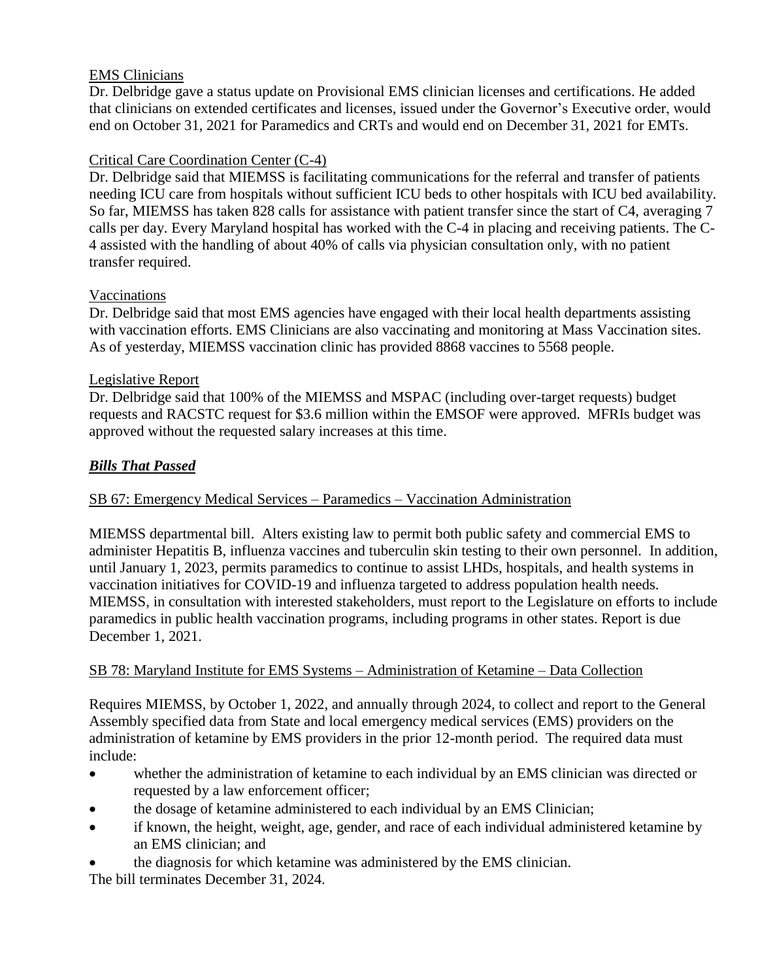## EMS Clinicians

Dr. Delbridge gave a status update on Provisional EMS clinician licenses and certifications. He added that clinicians on extended certificates and licenses, issued under the Governor's Executive order, would end on October 31, 2021 for Paramedics and CRTs and would end on December 31, 2021 for EMTs.

# Critical Care Coordination Center (C-4)

Dr. Delbridge said that MIEMSS is facilitating communications for the referral and transfer of patients needing ICU care from hospitals without sufficient ICU beds to other hospitals with ICU bed availability. So far, MIEMSS has taken 828 calls for assistance with patient transfer since the start of C4, averaging 7 calls per day. Every Maryland hospital has worked with the C-4 in placing and receiving patients. The C-4 assisted with the handling of about 40% of calls via physician consultation only, with no patient transfer required.

# Vaccinations

Dr. Delbridge said that most EMS agencies have engaged with their local health departments assisting with vaccination efforts. EMS Clinicians are also vaccinating and monitoring at Mass Vaccination sites. As of yesterday, MIEMSS vaccination clinic has provided 8868 vaccines to 5568 people.

# Legislative Report

Dr. Delbridge said that 100% of the MIEMSS and MSPAC (including over-target requests) budget requests and RACSTC request for \$3.6 million within the EMSOF were approved. MFRIs budget was approved without the requested salary increases at this time.

# *Bills That Passed*

# SB 67: Emergency Medical Services – Paramedics – Vaccination Administration

MIEMSS departmental bill. Alters existing law to permit both public safety and commercial EMS to administer Hepatitis B, influenza vaccines and tuberculin skin testing to their own personnel. In addition, until January 1, 2023, permits paramedics to continue to assist LHDs, hospitals, and health systems in vaccination initiatives for COVID-19 and influenza targeted to address population health needs. MIEMSS, in consultation with interested stakeholders, must report to the Legislature on efforts to include paramedics in public health vaccination programs, including programs in other states. Report is due December 1, 2021.

# SB 78: Maryland Institute for EMS Systems – Administration of Ketamine – Data Collection

Requires MIEMSS, by October 1, 2022, and annually through 2024, to collect and report to the General Assembly specified data from State and local emergency medical services (EMS) providers on the administration of ketamine by EMS providers in the prior 12-month period. The required data must include:

- whether the administration of ketamine to each individual by an EMS clinician was directed or requested by a law enforcement officer;
- the dosage of ketamine administered to each individual by an EMS Clinician;
- if known, the height, weight, age, gender, and race of each individual administered ketamine by an EMS clinician; and
- the diagnosis for which ketamine was administered by the EMS clinician.

The bill terminates December 31, 2024.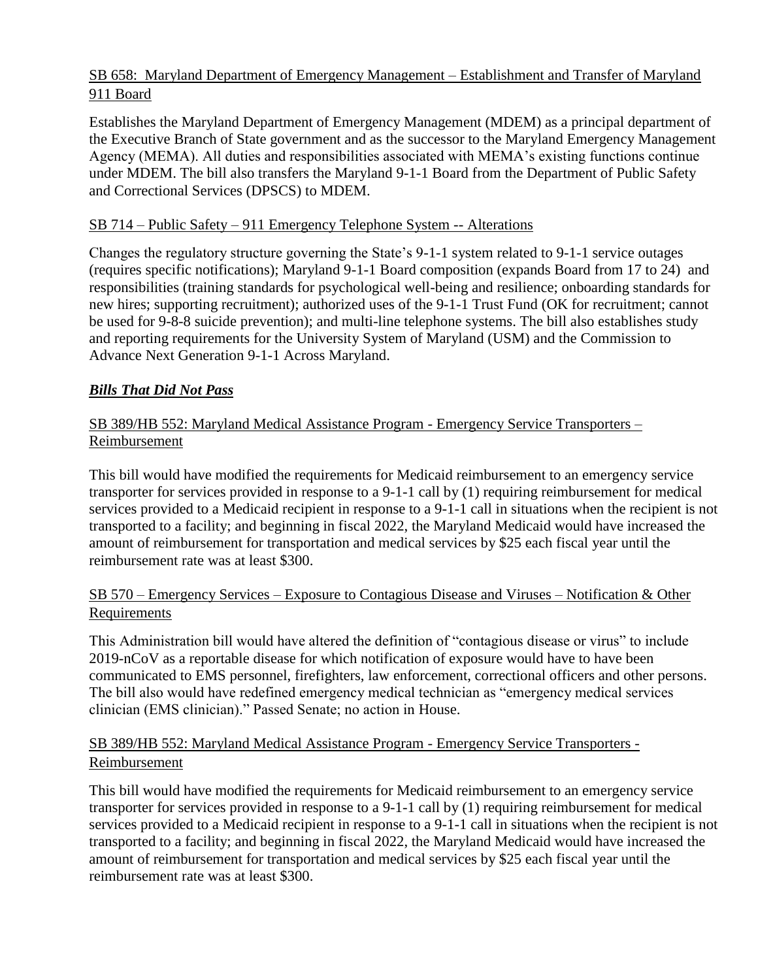# SB 658: Maryland Department of Emergency Management – Establishment and Transfer of Maryland 911 Board

Establishes the Maryland Department of Emergency Management (MDEM) as a principal department of the Executive Branch of State government and as the successor to the Maryland Emergency Management Agency (MEMA). All duties and responsibilities associated with MEMA's existing functions continue under MDEM. The bill also transfers the Maryland 9-1-1 Board from the Department of Public Safety and Correctional Services (DPSCS) to MDEM.

# SB 714 – Public Safety – 911 Emergency Telephone System -- Alterations

Changes the regulatory structure governing the State's 9-1-1 system related to 9-1-1 service outages (requires specific notifications); Maryland 9-1-1 Board composition (expands Board from 17 to 24) and responsibilities (training standards for psychological well-being and resilience; onboarding standards for new hires; supporting recruitment); authorized uses of the 9-1-1 Trust Fund (OK for recruitment; cannot be used for 9-8-8 suicide prevention); and multi-line telephone systems. The bill also establishes study and reporting requirements for the University System of Maryland (USM) and the Commission to Advance Next Generation 9-1-1 Across Maryland.

# *Bills That Did Not Pass*

# SB 389/HB 552: Maryland Medical Assistance Program - Emergency Service Transporters – Reimbursement

This bill would have modified the requirements for Medicaid reimbursement to an emergency service transporter for services provided in response to a 9-1-1 call by (1) requiring reimbursement for medical services provided to a Medicaid recipient in response to a 9-1-1 call in situations when the recipient is not transported to a facility; and beginning in fiscal 2022, the Maryland Medicaid would have increased the amount of reimbursement for transportation and medical services by \$25 each fiscal year until the reimbursement rate was at least \$300.

# SB 570 – Emergency Services – Exposure to Contagious Disease and Viruses – Notification & Other Requirements

This Administration bill would have altered the definition of "contagious disease or virus" to include 2019-nCoV as a reportable disease for which notification of exposure would have to have been communicated to EMS personnel, firefighters, law enforcement, correctional officers and other persons. The bill also would have redefined emergency medical technician as "emergency medical services clinician (EMS clinician)." Passed Senate; no action in House.

## SB 389/HB 552: Maryland Medical Assistance Program - Emergency Service Transporters - Reimbursement

This bill would have modified the requirements for Medicaid reimbursement to an emergency service transporter for services provided in response to a 9-1-1 call by (1) requiring reimbursement for medical services provided to a Medicaid recipient in response to a 9-1-1 call in situations when the recipient is not transported to a facility; and beginning in fiscal 2022, the Maryland Medicaid would have increased the amount of reimbursement for transportation and medical services by \$25 each fiscal year until the reimbursement rate was at least \$300.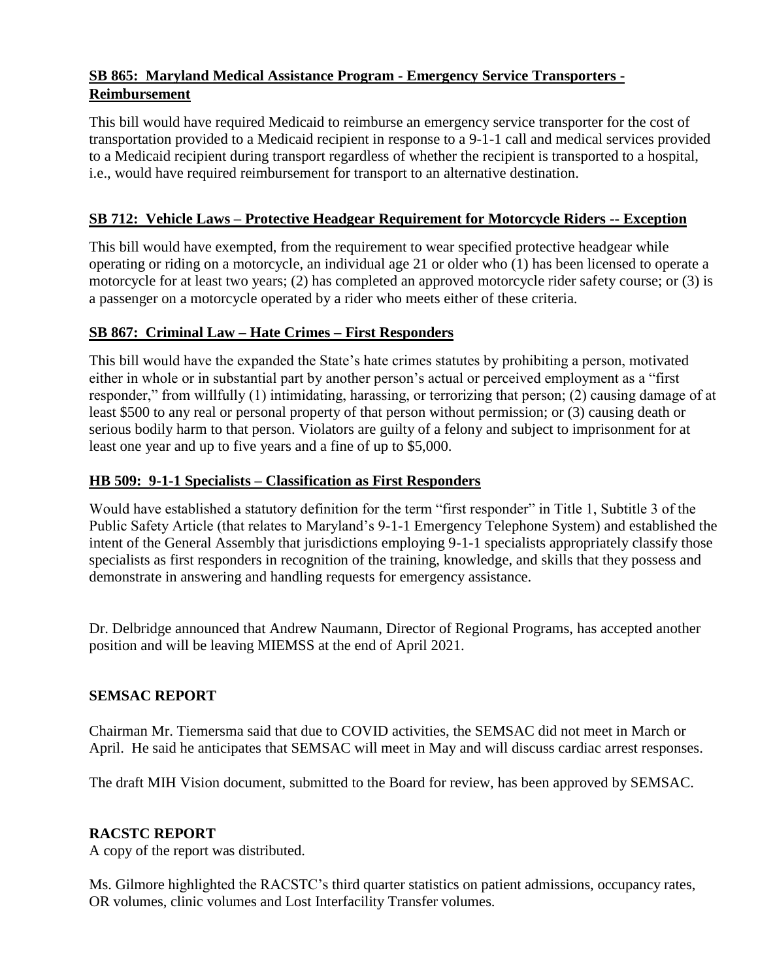# **SB 865: Maryland Medical Assistance Program - Emergency Service Transporters - Reimbursement**

This bill would have required Medicaid to reimburse an emergency service transporter for the cost of transportation provided to a Medicaid recipient in response to a 9-1-1 call and medical services provided to a Medicaid recipient during transport regardless of whether the recipient is transported to a hospital, i.e., would have required reimbursement for transport to an alternative destination.

# **SB 712: Vehicle Laws – Protective Headgear Requirement for Motorcycle Riders -- Exception**

This bill would have exempted, from the requirement to wear specified protective headgear while operating or riding on a motorcycle, an individual age 21 or older who (1) has been licensed to operate a motorcycle for at least two years; (2) has completed an approved motorcycle rider safety course; or (3) is a passenger on a motorcycle operated by a rider who meets either of these criteria.

## **SB 867: Criminal Law – Hate Crimes – First Responders**

This bill would have the expanded the State's hate crimes statutes by prohibiting a person, motivated either in whole or in substantial part by another person's actual or perceived employment as a "first responder," from willfully (1) intimidating, harassing, or terrorizing that person; (2) causing damage of at least \$500 to any real or personal property of that person without permission; or (3) causing death or serious bodily harm to that person. Violators are guilty of a felony and subject to imprisonment for at least one year and up to five years and a fine of up to \$5,000.

# **HB 509: 9-1-1 Specialists – Classification as First Responders**

Would have established a statutory definition for the term "first responder" in Title 1, Subtitle 3 of the Public Safety Article (that relates to Maryland's 9-1-1 Emergency Telephone System) and established the intent of the General Assembly that jurisdictions employing 9-1-1 specialists appropriately classify those specialists as first responders in recognition of the training, knowledge, and skills that they possess and demonstrate in answering and handling requests for emergency assistance.

Dr. Delbridge announced that Andrew Naumann, Director of Regional Programs, has accepted another position and will be leaving MIEMSS at the end of April 2021.

## **SEMSAC REPORT**

Chairman Mr. Tiemersma said that due to COVID activities, the SEMSAC did not meet in March or April. He said he anticipates that SEMSAC will meet in May and will discuss cardiac arrest responses.

The draft MIH Vision document, submitted to the Board for review, has been approved by SEMSAC.

# **RACSTC REPORT**

A copy of the report was distributed.

Ms. Gilmore highlighted the RACSTC's third quarter statistics on patient admissions, occupancy rates, OR volumes, clinic volumes and Lost Interfacility Transfer volumes.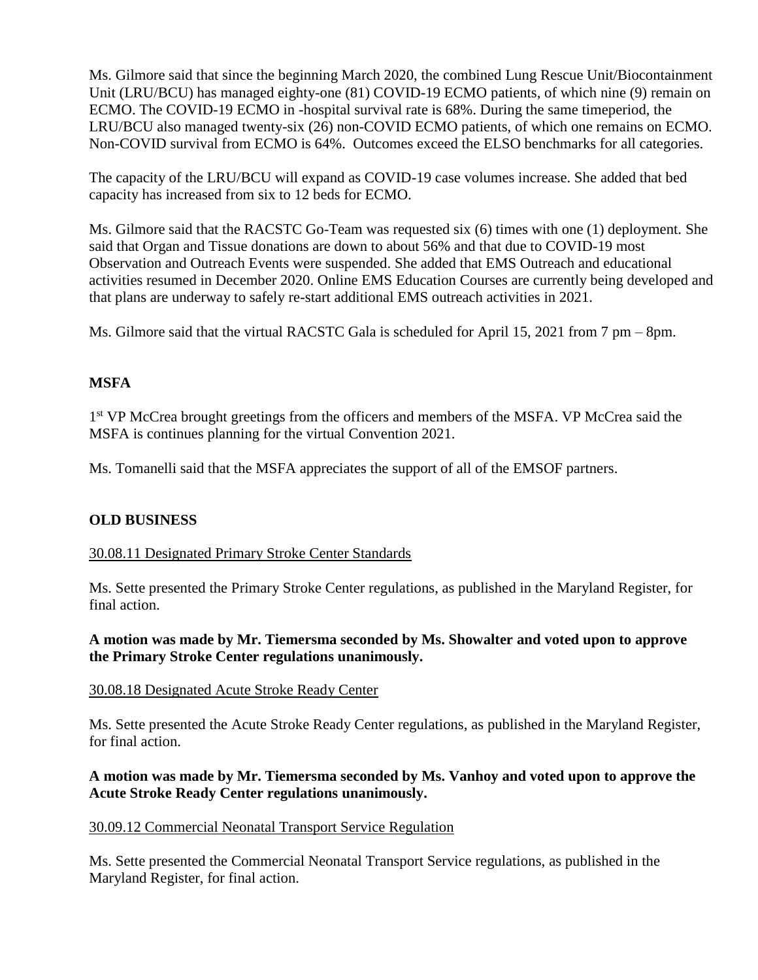Ms. Gilmore said that since the beginning March 2020, the combined Lung Rescue Unit/Biocontainment Unit (LRU/BCU) has managed eighty-one (81) COVID-19 ECMO patients, of which nine (9) remain on ECMO. The COVID-19 ECMO in -hospital survival rate is 68%. During the same timeperiod, the LRU/BCU also managed twenty-six (26) non-COVID ECMO patients, of which one remains on ECMO. Non-COVID survival from ECMO is 64%. Outcomes exceed the ELSO benchmarks for all categories.

The capacity of the LRU/BCU will expand as COVID-19 case volumes increase. She added that bed capacity has increased from six to 12 beds for ECMO.

Ms. Gilmore said that the RACSTC Go-Team was requested six (6) times with one (1) deployment. She said that Organ and Tissue donations are down to about 56% and that due to COVID-19 most Observation and Outreach Events were suspended. She added that EMS Outreach and educational activities resumed in December 2020. Online EMS Education Courses are currently being developed and that plans are underway to safely re-start additional EMS outreach activities in 2021.

Ms. Gilmore said that the virtual RACSTC Gala is scheduled for April 15, 2021 from 7 pm – 8pm.

#### **MSFA**

1<sup>st</sup> VP McCrea brought greetings from the officers and members of the MSFA. VP McCrea said the MSFA is continues planning for the virtual Convention 2021.

Ms. Tomanelli said that the MSFA appreciates the support of all of the EMSOF partners.

#### **OLD BUSINESS**

30.08.11 Designated Primary Stroke Center Standards

Ms. Sette presented the Primary Stroke Center regulations, as published in the Maryland Register, for final action.

#### **A motion was made by Mr. Tiemersma seconded by Ms. Showalter and voted upon to approve the Primary Stroke Center regulations unanimously.**

#### 30.08.18 Designated Acute Stroke Ready Center

Ms. Sette presented the Acute Stroke Ready Center regulations, as published in the Maryland Register, for final action.

#### **A motion was made by Mr. Tiemersma seconded by Ms. Vanhoy and voted upon to approve the Acute Stroke Ready Center regulations unanimously.**

#### 30.09.12 Commercial Neonatal Transport Service Regulation

Ms. Sette presented the Commercial Neonatal Transport Service regulations, as published in the Maryland Register, for final action.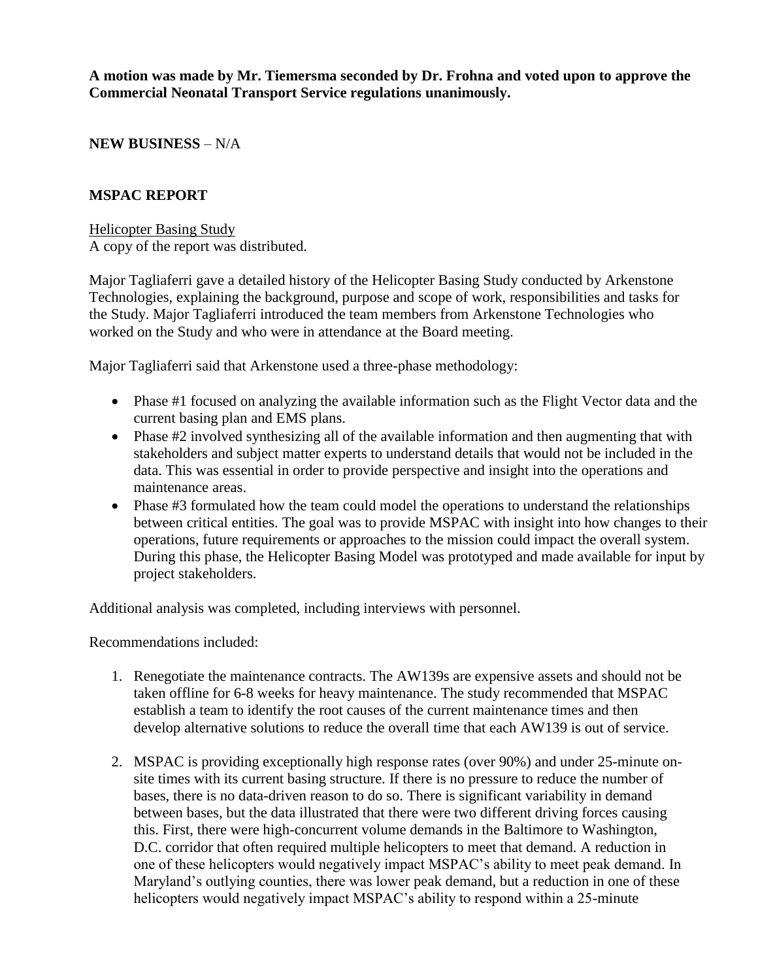**A motion was made by Mr. Tiemersma seconded by Dr. Frohna and voted upon to approve the Commercial Neonatal Transport Service regulations unanimously.**

**NEW BUSINESS** – N/A

#### **MSPAC REPORT**

Helicopter Basing Study A copy of the report was distributed.

Major Tagliaferri gave a detailed history of the Helicopter Basing Study conducted by Arkenstone Technologies, explaining the background, purpose and scope of work, responsibilities and tasks for the Study. Major Tagliaferri introduced the team members from Arkenstone Technologies who worked on the Study and who were in attendance at the Board meeting.

Major Tagliaferri said that Arkenstone used a three-phase methodology:

- Phase #1 focused on analyzing the available information such as the Flight Vector data and the current basing plan and EMS plans.
- Phase #2 involved synthesizing all of the available information and then augmenting that with stakeholders and subject matter experts to understand details that would not be included in the data. This was essential in order to provide perspective and insight into the operations and maintenance areas.
- Phase #3 formulated how the team could model the operations to understand the relationships between critical entities. The goal was to provide MSPAC with insight into how changes to their operations, future requirements or approaches to the mission could impact the overall system. During this phase, the Helicopter Basing Model was prototyped and made available for input by project stakeholders.

Additional analysis was completed, including interviews with personnel.

Recommendations included:

- 1. Renegotiate the maintenance contracts. The AW139s are expensive assets and should not be taken offline for 6-8 weeks for heavy maintenance. The study recommended that MSPAC establish a team to identify the root causes of the current maintenance times and then develop alternative solutions to reduce the overall time that each AW139 is out of service.
- 2. MSPAC is providing exceptionally high response rates (over 90%) and under 25-minute onsite times with its current basing structure. If there is no pressure to reduce the number of bases, there is no data-driven reason to do so. There is significant variability in demand between bases, but the data illustrated that there were two different driving forces causing this. First, there were high-concurrent volume demands in the Baltimore to Washington, D.C. corridor that often required multiple helicopters to meet that demand. A reduction in one of these helicopters would negatively impact MSPAC's ability to meet peak demand. In Maryland's outlying counties, there was lower peak demand, but a reduction in one of these helicopters would negatively impact MSPAC's ability to respond within a 25-minute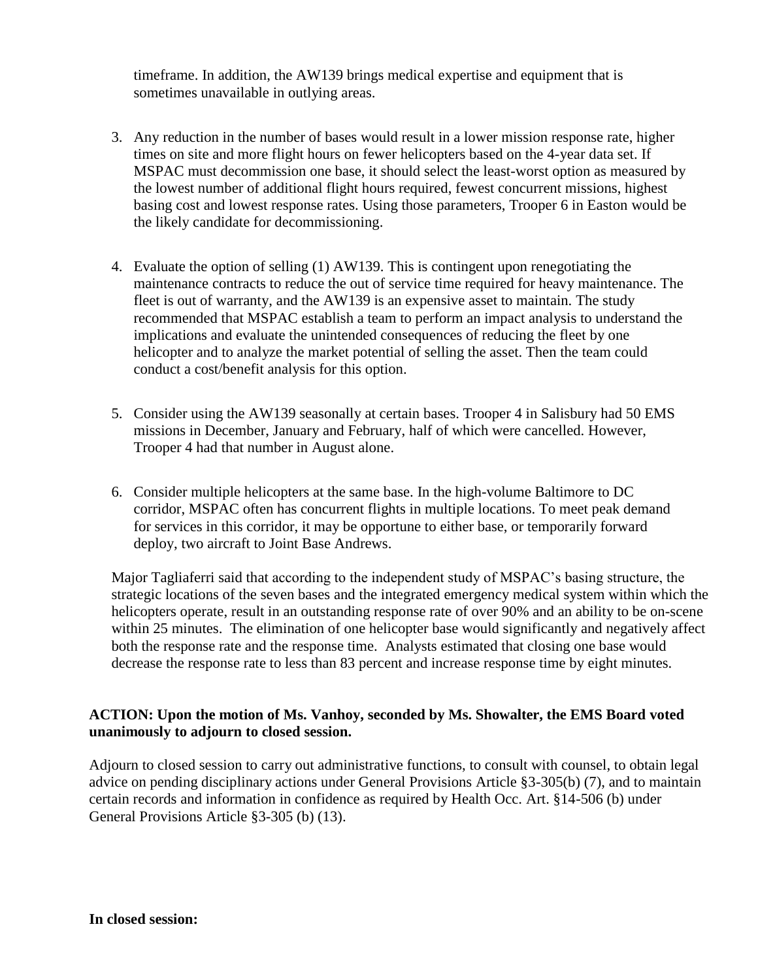timeframe. In addition, the AW139 brings medical expertise and equipment that is sometimes unavailable in outlying areas.

- 3. Any reduction in the number of bases would result in a lower mission response rate, higher times on site and more flight hours on fewer helicopters based on the 4-year data set. If MSPAC must decommission one base, it should select the least-worst option as measured by the lowest number of additional flight hours required, fewest concurrent missions, highest basing cost and lowest response rates. Using those parameters, Trooper 6 in Easton would be the likely candidate for decommissioning.
- 4. Evaluate the option of selling (1) AW139. This is contingent upon renegotiating the maintenance contracts to reduce the out of service time required for heavy maintenance. The fleet is out of warranty, and the AW139 is an expensive asset to maintain. The study recommended that MSPAC establish a team to perform an impact analysis to understand the implications and evaluate the unintended consequences of reducing the fleet by one helicopter and to analyze the market potential of selling the asset. Then the team could conduct a cost/benefit analysis for this option.
- 5. Consider using the AW139 seasonally at certain bases. Trooper 4 in Salisbury had 50 EMS missions in December, January and February, half of which were cancelled. However, Trooper 4 had that number in August alone.
- 6. Consider multiple helicopters at the same base. In the high-volume Baltimore to DC corridor, MSPAC often has concurrent flights in multiple locations. To meet peak demand for services in this corridor, it may be opportune to either base, or temporarily forward deploy, two aircraft to Joint Base Andrews.

Major Tagliaferri said that according to the independent study of MSPAC's basing structure, the strategic locations of the seven bases and the integrated emergency medical system within which the helicopters operate, result in an outstanding response rate of over 90% and an ability to be on-scene within 25 minutes. The elimination of one helicopter base would significantly and negatively affect both the response rate and the response time. Analysts estimated that closing one base would decrease the response rate to less than 83 percent and increase response time by eight minutes.

#### **ACTION: Upon the motion of Ms. Vanhoy, seconded by Ms. Showalter, the EMS Board voted unanimously to adjourn to closed session.**

Adjourn to closed session to carry out administrative functions, to consult with counsel, to obtain legal advice on pending disciplinary actions under General Provisions Article §3-305(b) (7), and to maintain certain records and information in confidence as required by Health Occ. Art. §14-506 (b) under General Provisions Article §3-305 (b) (13).